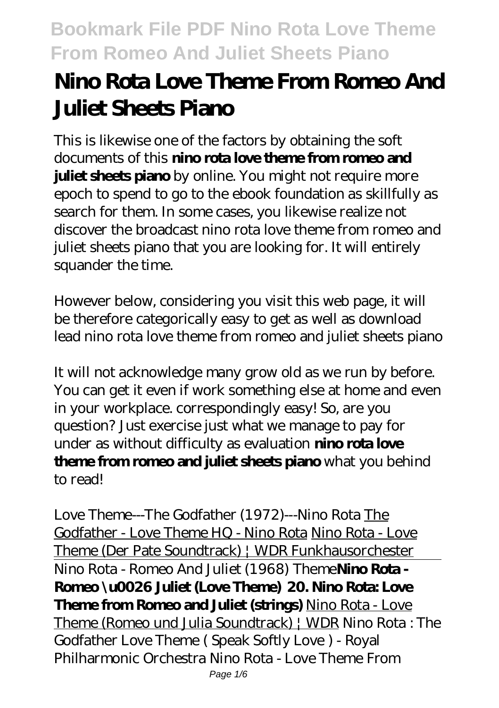# **Nino Rota Love Theme From Romeo And Juliet Sheets Piano**

This is likewise one of the factors by obtaining the soft documents of this **nino rota love theme from romeo and juliet sheets piano** by online. You might not require more epoch to spend to go to the ebook foundation as skillfully as search for them. In some cases, you likewise realize not discover the broadcast nino rota love theme from romeo and juliet sheets piano that you are looking for. It will entirely squander the time.

However below, considering you visit this web page, it will be therefore categorically easy to get as well as download lead nino rota love theme from romeo and juliet sheets piano

It will not acknowledge many grow old as we run by before. You can get it even if work something else at home and even in your workplace. correspondingly easy! So, are you question? Just exercise just what we manage to pay for under as without difficulty as evaluation **nino rota love theme from romeo and juliet sheets piano** what you behind to read!

*Love Theme---The Godfather (1972)---Nino Rota* The Godfather - Love Theme HQ - Nino Rota Nino Rota - Love Theme (Der Pate Soundtrack) | WDR Funkhausorchester Nino Rota - Romeo And Juliet (1968) Theme**Nino Rota - Romeo \u0026 Juliet (Love Theme) 20. Nino Rota: Love Theme from Romeo and Juliet (strings)** Nino Rota - Love Theme (Romeo und Julia Soundtrack) | WDR Nino Rota : The Godfather Love Theme ( Speak Softly Love ) - Royal Philharmonic Orchestra Nino Rota - Love Theme From Page 1/6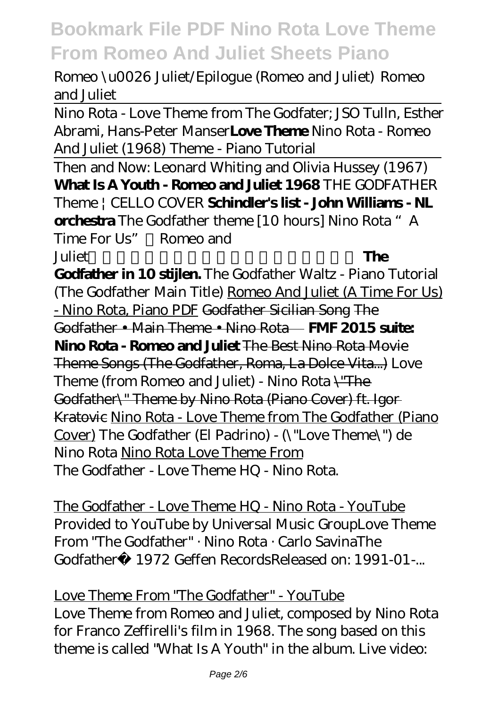Romeo \u0026 Juliet/Epilogue (Romeo and Juliet) *Romeo and Juliet*

Nino Rota - Love Theme from The Godfater; JSO Tulln, Esther Abrami, Hans-Peter Manser**Love Theme** Nino Rota - Romeo And Juliet (1968) Theme - Piano Tutorial

Then and Now: Leonard Whiting and Olivia Hussey (1967) **What Is A Youth - Romeo and Juliet 1968** THE GODFATHER Theme | CELLO COVER **Schindler's list - John Williams - NL orchestra** The Godfather theme [10 hours] *Nino Rota "A Time For Us"《Romeo and Juliet* **The** 

**Godfather in 10 stijlen.** *The Godfather Waltz - Piano Tutorial (The Godfather Main Title)* Romeo And Juliet (A Time For Us) - Nino Rota, Piano PDF Godfather Sicilian Song The Godfather • Main Theme • Nino Rota **FMF 2015 suite: Nino Rota - Romeo and Juliet** The Best Nino Rota Movie Theme Songs (The Godfather, Roma, La Dolce Vita...) Love Theme (from Romeo and Juliet) - Nino Rota \"The Godfather\" Theme by Nino Rota (Piano Cover) ft. Igor Kratovic Nino Rota - Love Theme from The Godfather (Piano Cover) *The Godfather (El Padrino) -*  $\frac{1}{2}$  *"Love Theme*, ") de *Nino Rota* Nino Rota Love Theme From The Godfather - Love Theme HQ - Nino Rota.

The Godfather - Love Theme HQ - Nino Rota - YouTube Provided to YouTube by Universal Music GroupLove Theme From "The Godfather" · Nino Rota · Carlo SavinaThe Godfather 1972 Geffen RecordsReleased on: 1991-01-

Love Theme From "The Godfather" - YouTube Love Theme from Romeo and Juliet, composed by Nino Rota for Franco Zeffirelli's film in 1968. The song based on this theme is called "What Is A Youth" in the album. Live video: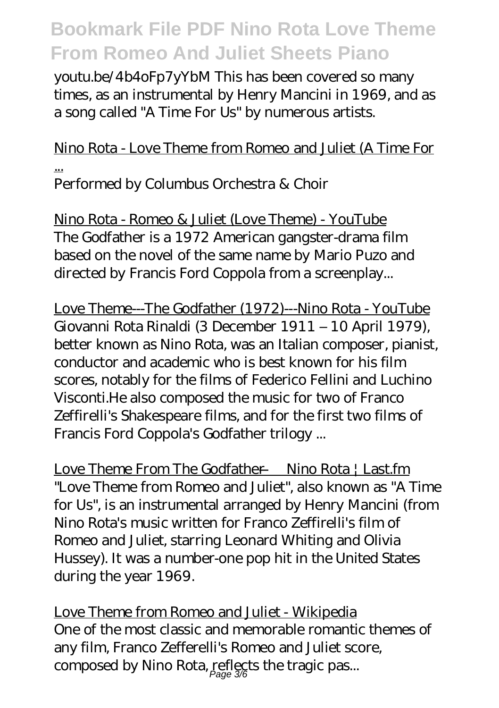youtu.be/4b4oFp7yYbM This has been covered so many times, as an instrumental by Henry Mancini in 1969, and as a song called "A Time For Us" by numerous artists.

### Nino Rota - Love Theme from Romeo and Juliet (A Time For ...

Performed by Columbus Orchestra & Choir

Nino Rota - Romeo & Juliet (Love Theme) - YouTube The Godfather is a 1972 American gangster-drama film based on the novel of the same name by Mario Puzo and directed by Francis Ford Coppola from a screenplay...

Love Theme---The Godfather (1972)---Nino Rota - YouTube Giovanni Rota Rinaldi (3 December 1911 – 10 April 1979), better known as Nino Rota, was an Italian composer, pianist, conductor and academic who is best known for his film scores, notably for the films of Federico Fellini and Luchino Visconti.He also composed the music for two of Franco Zeffirelli's Shakespeare films, and for the first two films of Francis Ford Coppola's Godfather trilogy ...

Love Theme From The Godfather — Nino Rota | Last.fm "Love Theme from Romeo and Juliet", also known as "A Time for Us", is an instrumental arranged by Henry Mancini (from Nino Rota's music written for Franco Zeffirelli's film of Romeo and Juliet, starring Leonard Whiting and Olivia Hussey). It was a number-one pop hit in the United States during the year 1969.

Love Theme from Romeo and Juliet - Wikipedia One of the most classic and memorable romantic themes of any film, Franco Zefferelli's Romeo and Juliet score, composed by Nino Rota, reflects the tragic pas...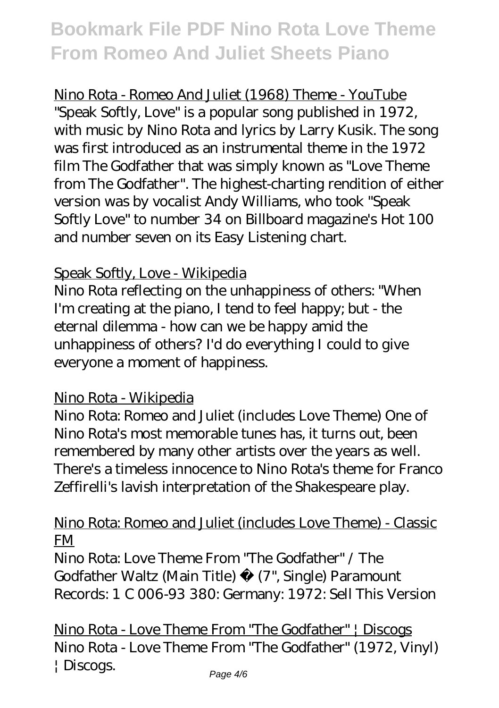Nino Rota - Romeo And Juliet (1968) Theme - YouTube "Speak Softly, Love" is a popular song published in 1972, with music by Nino Rota and lyrics by Larry Kusik. The song was first introduced as an instrumental theme in the 1972 film The Godfather that was simply known as "Love Theme from The Godfather". The highest-charting rendition of either version was by vocalist Andy Williams, who took "Speak Softly Love" to number 34 on Billboard magazine's Hot 100 and number seven on its Easy Listening chart.

#### Speak Softly, Love - Wikipedia

Nino Rota reflecting on the unhappiness of others: "When I'm creating at the piano, I tend to feel happy; but - the eternal dilemma - how can we be happy amid the unhappiness of others? I'd do everything I could to give everyone a moment of happiness.

#### Nino Rota - Wikipedia

Nino Rota: Romeo and Juliet (includes Love Theme) One of Nino Rota's most memorable tunes has, it turns out, been remembered by many other artists over the years as well. There's a timeless innocence to Nino Rota's theme for Franco Zeffirelli's lavish interpretation of the Shakespeare play.

#### Nino Rota: Romeo and Juliet (includes Love Theme) - Classic FM

Nino Rota: Love Theme From "The Godfather" / The Godfather Waltz (Main Title) (7", Single) Paramount Records: 1 C 006-93 380: Germany: 1972: Sell This Version

Nino Rota - Love Theme From "The Godfather" | Discogs Nino Rota - Love Theme From "The Godfather" (1972, Vinyl) | Discogs.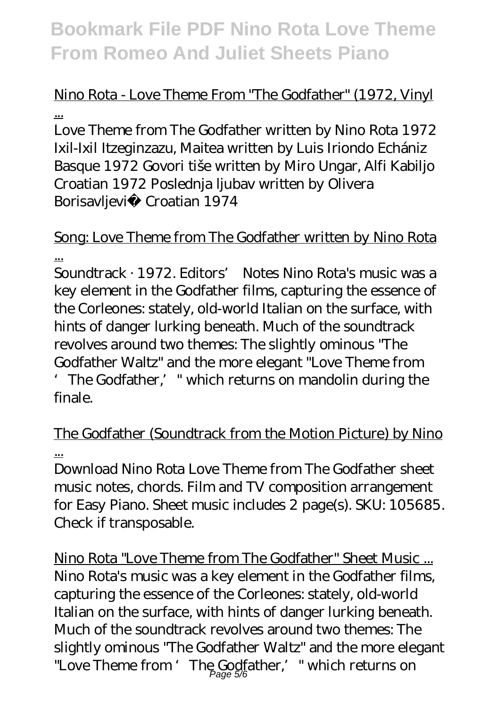# Nino Rota - Love Theme From "The Godfather" (1972, Vinyl

...

Love Theme from The Godfather written by Nino Rota 1972 Ixil-Ixil Itzeginzazu, Maitea written by Luis Iriondo Echániz Basque 1972 Govori tiše written by Miro Ungar, Alfi Kabiljo Croatian 1972 Poslednja ljubav written by Olivera Borisavljevi Croatian 1974

#### Song: Love Theme from The Godfather written by Nino Rota ...

Soundtrack · 1972. Editors' Notes Nino Rota's music was a key element in the Godfather films, capturing the essence of the Corleones: stately, old-world Italian on the surface, with hints of danger lurking beneath. Much of the soundtrack revolves around two themes: The slightly ominous "The Godfather Waltz" and the more elegant "Love Theme from 'The Godfather,'" which returns on mandolin during the finale.

### The Godfather (Soundtrack from the Motion Picture) by Nino ...

Download Nino Rota Love Theme from The Godfather sheet music notes, chords. Film and TV composition arrangement for Easy Piano. Sheet music includes 2 page(s). SKU: 105685. Check if transposable.

Nino Rota "Love Theme from The Godfather" Sheet Music ... Nino Rota's music was a key element in the Godfather films, capturing the essence of the Corleones: stately, old-world Italian on the surface, with hints of danger lurking beneath. Much of the soundtrack revolves around two themes: The slightly ominous "The Godfather Waltz" and the more elegant "Love Theme from ' The Godfather,' " which returns on